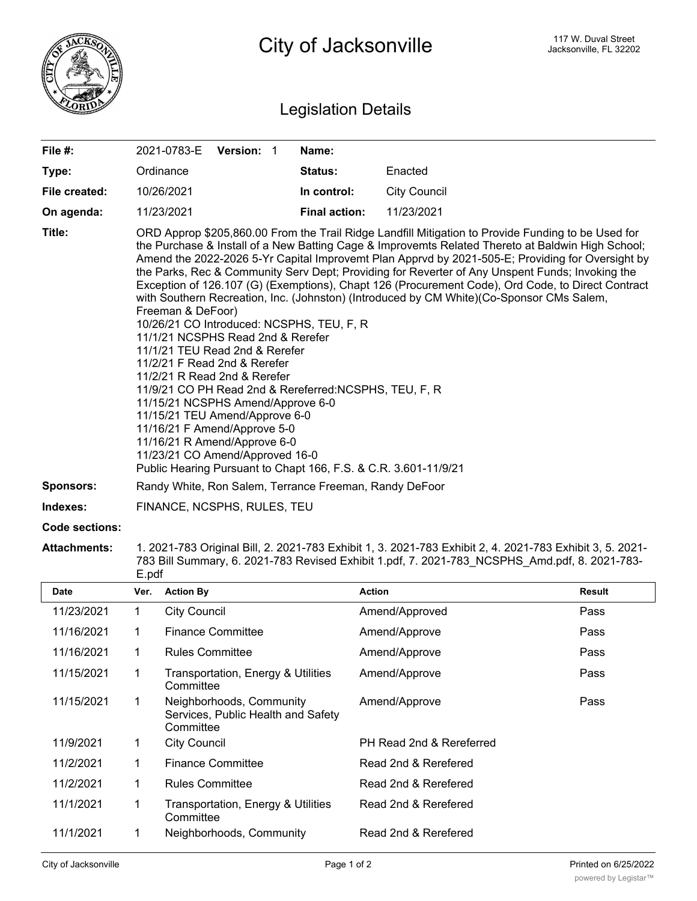

## Legislation Details

| File #:          | 2021-0783-E Version: 1                                                                                                                                                                                                                                                                                                                                                                                                                                                                                                                                                                                                                                                                                                                                                                                                                                                                                                                                                                                                                                                                                                          |  |  | Name:                                                  |                     |  |  |  |
|------------------|---------------------------------------------------------------------------------------------------------------------------------------------------------------------------------------------------------------------------------------------------------------------------------------------------------------------------------------------------------------------------------------------------------------------------------------------------------------------------------------------------------------------------------------------------------------------------------------------------------------------------------------------------------------------------------------------------------------------------------------------------------------------------------------------------------------------------------------------------------------------------------------------------------------------------------------------------------------------------------------------------------------------------------------------------------------------------------------------------------------------------------|--|--|--------------------------------------------------------|---------------------|--|--|--|
| Type:            | Ordinance                                                                                                                                                                                                                                                                                                                                                                                                                                                                                                                                                                                                                                                                                                                                                                                                                                                                                                                                                                                                                                                                                                                       |  |  | Status:                                                | Enacted             |  |  |  |
| File created:    | 10/26/2021                                                                                                                                                                                                                                                                                                                                                                                                                                                                                                                                                                                                                                                                                                                                                                                                                                                                                                                                                                                                                                                                                                                      |  |  | In control:                                            | <b>City Council</b> |  |  |  |
| On agenda:       | 11/23/2021                                                                                                                                                                                                                                                                                                                                                                                                                                                                                                                                                                                                                                                                                                                                                                                                                                                                                                                                                                                                                                                                                                                      |  |  | <b>Final action:</b>                                   | 11/23/2021          |  |  |  |
| Title:           | ORD Approp \$205,860.00 From the Trail Ridge Landfill Mitigation to Provide Funding to be Used for<br>the Purchase & Install of a New Batting Cage & Improvemts Related Thereto at Baldwin High School;<br>Amend the 2022-2026 5-Yr Capital Improvemt Plan Apprvd by 2021-505-E; Providing for Oversight by<br>the Parks, Rec & Community Serv Dept; Providing for Reverter of Any Unspent Funds; Invoking the<br>Exception of 126.107 (G) (Exemptions), Chapt 126 (Procurement Code), Ord Code, to Direct Contract<br>with Southern Recreation, Inc. (Johnston) (Introduced by CM White)(Co-Sponsor CMs Salem,<br>Freeman & DeFoor)<br>10/26/21 CO Introduced: NCSPHS, TEU, F, R<br>11/1/21 NCSPHS Read 2nd & Rerefer<br>11/1/21 TEU Read 2nd & Rerefer<br>11/2/21 F Read 2nd & Rerefer<br>11/2/21 R Read 2nd & Rerefer<br>11/9/21 CO PH Read 2nd & Rereferred: NCSPHS, TEU, F, R<br>11/15/21 NCSPHS Amend/Approve 6-0<br>11/15/21 TEU Amend/Approve 6-0<br>11/16/21 F Amend/Approve 5-0<br>11/16/21 R Amend/Approve 6-0<br>11/23/21 CO Amend/Approved 16-0<br>Public Hearing Pursuant to Chapt 166, F.S. & C.R. 3.601-11/9/21 |  |  |                                                        |                     |  |  |  |
| <b>Sponsors:</b> |                                                                                                                                                                                                                                                                                                                                                                                                                                                                                                                                                                                                                                                                                                                                                                                                                                                                                                                                                                                                                                                                                                                                 |  |  | Randy White, Ron Salem, Terrance Freeman, Randy DeFoor |                     |  |  |  |
| Indexes:         | FINANCE, NCSPHS, RULES, TEU                                                                                                                                                                                                                                                                                                                                                                                                                                                                                                                                                                                                                                                                                                                                                                                                                                                                                                                                                                                                                                                                                                     |  |  |                                                        |                     |  |  |  |

## **Code sections:**

**Attachments:** 1. 2021-783 Original Bill, 2. 2021-783 Exhibit 1, 3. 2021-783 Exhibit 2, 4. 2021-783 Exhibit 3, 5. 2021- 783 Bill Summary, 6. 2021-783 Revised Exhibit 1.pdf, 7. 2021-783\_NCSPHS\_Amd.pdf, 8. 2021-783- E.pdf

| <b>Date</b> | Ver. | <b>Action By</b>                                                            | <b>Action</b>            | <b>Result</b> |  |  |  |  |
|-------------|------|-----------------------------------------------------------------------------|--------------------------|---------------|--|--|--|--|
| 11/23/2021  |      | <b>City Council</b>                                                         | Amend/Approved           | Pass          |  |  |  |  |
| 11/16/2021  |      | <b>Finance Committee</b>                                                    | Amend/Approve            | Pass          |  |  |  |  |
| 11/16/2021  |      | <b>Rules Committee</b>                                                      | Amend/Approve            | Pass          |  |  |  |  |
| 11/15/2021  | 1    | Transportation, Energy & Utilities<br>Committee                             | Amend/Approve            | Pass          |  |  |  |  |
| 11/15/2021  | 1    | Neighborhoods, Community<br>Services, Public Health and Safety<br>Committee | Amend/Approve            | Pass          |  |  |  |  |
| 11/9/2021   | 1    | <b>City Council</b>                                                         | PH Read 2nd & Rereferred |               |  |  |  |  |
| 11/2/2021   |      | <b>Finance Committee</b>                                                    | Read 2nd & Rerefered     |               |  |  |  |  |
| 11/2/2021   | 1    | <b>Rules Committee</b>                                                      | Read 2nd & Rerefered     |               |  |  |  |  |
| 11/1/2021   | 1    | Transportation, Energy & Utilities<br>Committee                             | Read 2nd & Rerefered     |               |  |  |  |  |
| 11/1/2021   |      | Neighborhoods, Community                                                    | Read 2nd & Rerefered     |               |  |  |  |  |